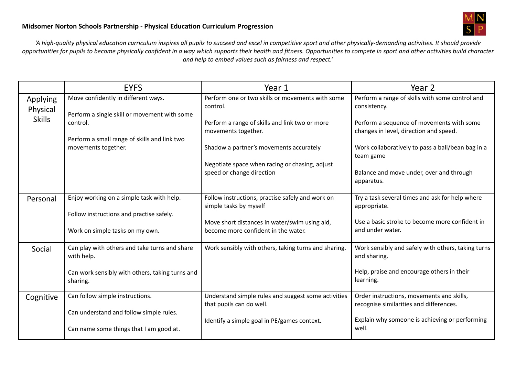

'A high-quality physical education curriculum inspires all pupils to succeed and excel in competitive sport and other physically-demanding activities. It should provide opportunities for pupils to become physically confident in a way which supports their health and fitness. Opportunities to compete in sport and other activities build character *and help to embed values such as fairness and respect.'*

|                                       | <b>EYFS</b>                                                                         | Year 1                                                                               | Year 2                                                                               |
|---------------------------------------|-------------------------------------------------------------------------------------|--------------------------------------------------------------------------------------|--------------------------------------------------------------------------------------|
| Applying<br>Physical<br><b>Skills</b> | Move confidently in different ways.<br>Perform a single skill or movement with some | Perform one or two skills or movements with some<br>control.                         | Perform a range of skills with some control and<br>consistency.                      |
|                                       | control.                                                                            | Perform a range of skills and link two or more<br>movements together.                | Perform a sequence of movements with some<br>changes in level, direction and speed.  |
|                                       | Perform a small range of skills and link two<br>movements together.                 | Shadow a partner's movements accurately                                              | Work collaboratively to pass a ball/bean bag in a<br>team game                       |
|                                       |                                                                                     | Negotiate space when racing or chasing, adjust<br>speed or change direction          | Balance and move under, over and through<br>apparatus.                               |
| Personal                              | Enjoy working on a simple task with help.                                           | Follow instructions, practise safely and work on<br>simple tasks by myself           | Try a task several times and ask for help where<br>appropriate.                      |
|                                       | Follow instructions and practise safely.                                            |                                                                                      | Use a basic stroke to become more confident in                                       |
|                                       | Work on simple tasks on my own.                                                     | Move short distances in water/swim using aid,<br>become more confident in the water. | and under water.                                                                     |
| Social                                | Can play with others and take turns and share<br>with help.                         | Work sensibly with others, taking turns and sharing.                                 | Work sensibly and safely with others, taking turns<br>and sharing.                   |
|                                       | Can work sensibly with others, taking turns and<br>sharing.                         |                                                                                      | Help, praise and encourage others in their<br>learning.                              |
| Cognitive                             | Can follow simple instructions.                                                     | Understand simple rules and suggest some activities<br>that pupils can do well.      | Order instructions, movements and skills,<br>recognise similarities and differences. |
|                                       | Can understand and follow simple rules.                                             |                                                                                      | Explain why someone is achieving or performing                                       |
|                                       | Can name some things that I am good at.                                             | Identify a simple goal in PE/games context.                                          | well.                                                                                |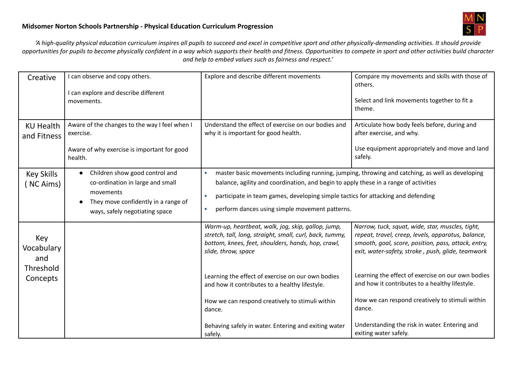

'A high-quality physical education curriculum inspires all pupils to succeed and excel in competitive sport and other physically-demanding activities. It should provide opportunities for pupils to become physically confident in a way which supports their health and fitness. Opportunities to compete in sport and other activities build character *and help to embed values such as fairness and respect.'*

| Creative                                          | I can observe and copy others.<br>I can explore and describe different<br>movements.                                                                                  | Explore and describe different movements                                                                                                                                                                                                             | Compare my movements and skills with those of<br>others.<br>Select and link movements together to fit a<br>theme.                                                                                                                                                       |  |
|---------------------------------------------------|-----------------------------------------------------------------------------------------------------------------------------------------------------------------------|------------------------------------------------------------------------------------------------------------------------------------------------------------------------------------------------------------------------------------------------------|-------------------------------------------------------------------------------------------------------------------------------------------------------------------------------------------------------------------------------------------------------------------------|--|
| <b>KU Health</b><br>and Fitness                   | Aware of the changes to the way I feel when I<br>exercise.<br>Aware of why exercise is important for good<br>health.                                                  | Understand the effect of exercise on our bodies and<br>why it is important for good health.                                                                                                                                                          | Articulate how body feels before, during and<br>after exercise, and why.<br>Use equipment appropriately and move and land<br>safely.                                                                                                                                    |  |
| <b>Key Skills</b><br>(NC Aims)                    | Children show good control and<br>$\bullet$<br>co-ordination in large and small<br>movements<br>They move confidently in a range of<br>ways, safely negotiating space | ×<br>balance, agility and coordination, and begin to apply these in a range of activities<br>participate in team games, developing simple tactics for attacking and defending<br>$\mathbf{r}$<br>perform dances using simple movement patterns.<br>× | master basic movements including running, jumping, throwing and catching, as well as developing                                                                                                                                                                         |  |
| Key<br>Vocabulary<br>and<br>Threshold<br>Concepts |                                                                                                                                                                       | Warm-up, heartbeat, walk, jog, skip, gallop, jump,<br>stretch, tall, long, straight, small, curl, back, tummy,<br>bottom, knees, feet, shoulders, hands, hop, crawl,<br>slide, throw, space<br>Learning the effect of exercise on our own bodies     | Narrow, tuck, squat, wide, star, muscles, tight,<br>repeat, travel, creep, levels, apparatus, balance,<br>smooth, goal, score, position, pass, attack, entry,<br>exit, water-safety, stroke, push, glide, teamwork<br>Learning the effect of exercise on our own bodies |  |
|                                                   |                                                                                                                                                                       | and how it contributes to a healthy lifestyle.<br>How we can respond creatively to stimuli within<br>dance.<br>Behaving safely in water. Entering and exiting water<br>safely.                                                                       | and how it contributes to a healthy lifestyle.<br>How we can respond creatively to stimuli within<br>dance.<br>Understanding the risk in water. Entering and<br>exiting water safely.                                                                                   |  |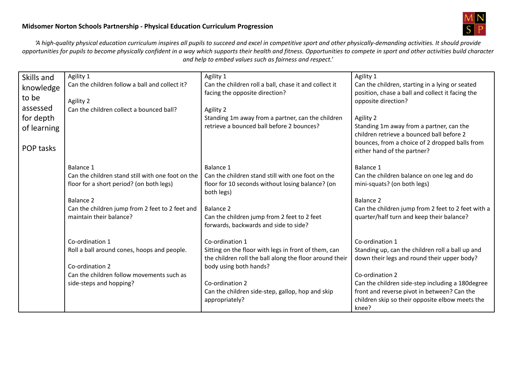

'A high-quality physical education curriculum inspires all pupils to succeed and excel in competitive sport and other physically-demanding activities. It should provide opportunities for pupils to become physically confident in a way which supports their health and fitness. Opportunities to compete in sport and other activities build character *and help to embed values such as fairness and respect.'*

| Skills and  | Agility 1                                                      | Agility 1                                                      | Agility 1                                                                 |
|-------------|----------------------------------------------------------------|----------------------------------------------------------------|---------------------------------------------------------------------------|
| knowledge   | Can the children follow a ball and collect it?                 | Can the children roll a ball, chase it and collect it          | Can the children, starting in a lying or seated                           |
| to be       |                                                                | facing the opposite direction?                                 | position, chase a ball and collect it facing the                          |
|             | Agility 2                                                      |                                                                | opposite direction?                                                       |
| assessed    | Can the children collect a bounced ball?                       | Agility 2                                                      |                                                                           |
| for depth   |                                                                | Standing 1m away from a partner, can the children              | Agility 2                                                                 |
| of learning |                                                                | retrieve a bounced ball before 2 bounces?                      | Standing 1m away from a partner, can the                                  |
|             |                                                                |                                                                | children retrieve a bounced ball before 2                                 |
| POP tasks   |                                                                |                                                                | bounces, from a choice of 2 dropped balls from                            |
|             |                                                                |                                                                | either hand of the partner?                                               |
|             |                                                                | Balance 1                                                      |                                                                           |
|             | Balance 1<br>Can the children stand still with one foot on the | Can the children stand still with one foot on the              | Balance 1                                                                 |
|             |                                                                |                                                                | Can the children balance on one leg and do<br>mini-squats? (on both legs) |
|             | floor for a short period? (on both legs)                       | floor for 10 seconds without losing balance? (on<br>both legs) |                                                                           |
|             | <b>Balance 2</b>                                               |                                                                | Balance 2                                                                 |
|             | Can the children jump from 2 feet to 2 feet and                | <b>Balance 2</b>                                               | Can the children jump from 2 feet to 2 feet with a                        |
|             | maintain their balance?                                        | Can the children jump from 2 feet to 2 feet                    | quarter/half turn and keep their balance?                                 |
|             |                                                                | forwards, backwards and side to side?                          |                                                                           |
|             |                                                                |                                                                |                                                                           |
|             | Co-ordination 1                                                | Co-ordination 1                                                | Co-ordination 1                                                           |
|             | Roll a ball around cones, hoops and people.                    | Sitting on the floor with legs in front of them, can           | Standing up, can the children roll a ball up and                          |
|             |                                                                | the children roll the ball along the floor around their        | down their legs and round their upper body?                               |
|             | Co-ordination 2                                                | body using both hands?                                         |                                                                           |
|             | Can the children follow movements such as                      |                                                                | Co-ordination 2                                                           |
|             | side-steps and hopping?                                        | Co-ordination 2                                                | Can the children side-step including a 180 degree                         |
|             |                                                                | Can the children side-step, gallop, hop and skip               | front and reverse pivot in between? Can the                               |
|             |                                                                | appropriately?                                                 | children skip so their opposite elbow meets the                           |
|             |                                                                |                                                                | knee?                                                                     |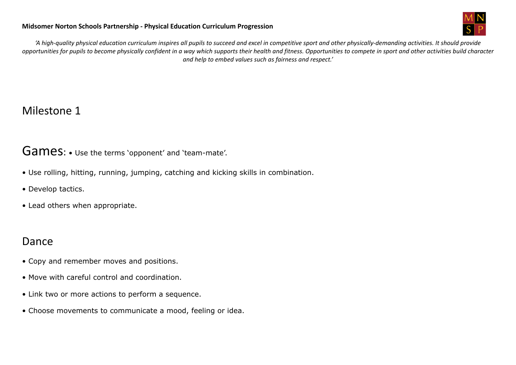

'A high-quality physical education curriculum inspires all pupils to succeed and excel in competitive sport and other physically-demanding activities. It should provide opportunities for pupils to become physically confident in a way which supports their health and fitness. Opportunities to compete in sport and other activities build character *and help to embed values such as fairness and respect.'*

# Milestone 1

## Games: • Use the terms 'opponent' and 'team-mate'.

- Use rolling, hitting, running, jumping, catching and kicking skills in combination.
- Develop tactics.
- Lead others when appropriate.

# Dance

- Copy and remember moves and positions.
- Move with careful control and coordination.
- Link two or more actions to perform a sequence.
- Choose movements to communicate a mood, feeling or idea.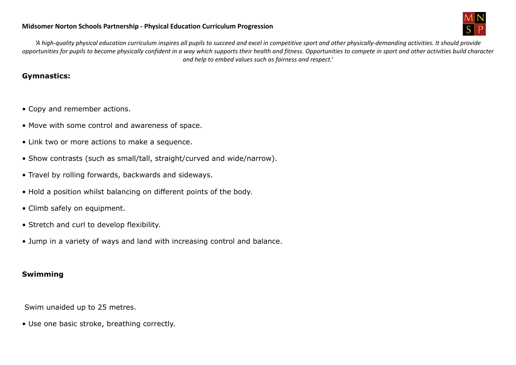

'A high-quality physical education curriculum inspires all pupils to succeed and excel in competitive sport and other physically-demanding activities. It should provide opportunities for pupils to become physically confident in a way which supports their health and fitness. Opportunities to compete in sport and other activities build character *and help to embed values such as fairness and respect.'*

### **Gymnastics:**

- Copy and remember actions.
- Move with some control and awareness of space.
- Link two or more actions to make a sequence.
- Show contrasts (such as small/tall, straight/curved and wide/narrow).
- Travel by rolling forwards, backwards and sideways.
- Hold a position whilst balancing on different points of the body.
- Climb safely on equipment.
- Stretch and curl to develop flexibility.
- Jump in a variety of ways and land with increasing control and balance.

### **Swimming**

Swim unaided up to 25 metres.

• Use one basic stroke, breathing correctly.